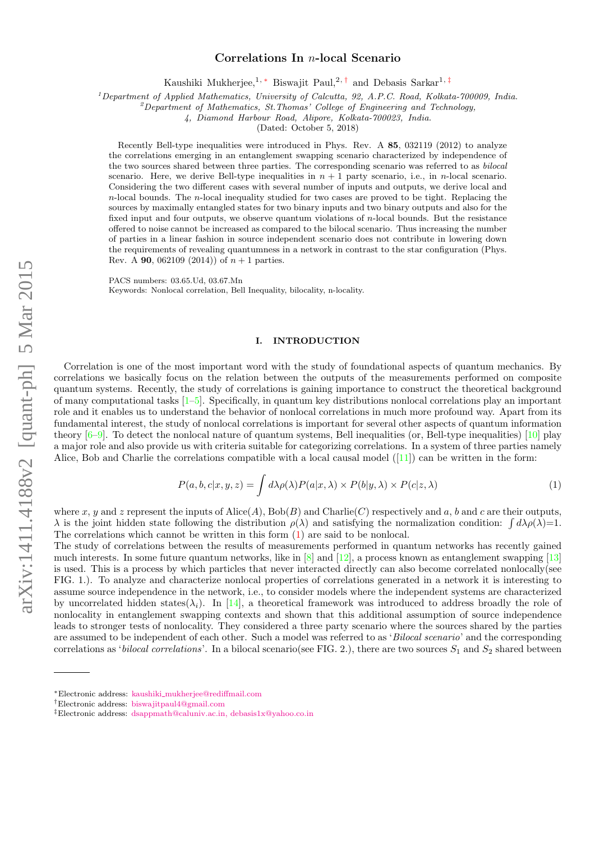# Correlations In n-local Scenario

Kaushiki Mukherjee,<sup>1, \*</sup> Biswajit Paul,<sup>2, [†](#page-0-1)</sup> and Debasis Sarkar<sup>1, [‡](#page-0-2)</sup>

 $1$ Department of Applied Mathematics, University of Calcutta, 92, A.P.C. Road, Kolkata-700009. India.

 $^{2}$ Department of Mathematics, St.Thomas' College of Engineering and Technology,

4, Diamond Harbour Road, Alipore, Kolkata-700023, India.

(Dated: October 5, 2018)

Recently Bell-type inequalities were introduced in Phys. Rev. A 85, 032119 (2012) to analyze the correlations emerging in an entanglement swapping scenario characterized by independence of the two sources shared between three parties. The corresponding scenario was referred to as bilocal scenario. Here, we derive Bell-type inequalities in  $n + 1$  party scenario, i.e., in n-local scenario. Considering the two different cases with several number of inputs and outputs, we derive local and  $n$ -local bounds. The  $n$ -local inequality studied for two cases are proved to be tight. Replacing the sources by maximally entangled states for two binary inputs and two binary outputs and also for the fixed input and four outputs, we observe quantum violations of n-local bounds. But the resistance offered to noise cannot be increased as compared to the bilocal scenario. Thus increasing the number of parties in a linear fashion in source independent scenario does not contribute in lowering down the requirements of revealing quantumness in a network in contrast to the star configuration (Phys. Rev. A **90**, 062109 (2014)) of  $n+1$  parties.

PACS numbers: 03.65.Ud, 03.67.Mn

Keywords: Nonlocal correlation, Bell Inequality, bilocality, n-locality.

## I. INTRODUCTION

Correlation is one of the most important word with the study of foundational aspects of quantum mechanics. By correlations we basically focus on the relation between the outputs of the measurements performed on composite quantum systems. Recently, the study of correlations is gaining importance to construct the theoretical background of many computational tasks [\[1–](#page-10-0)[5\]](#page-10-1). Specifically, in quantum key distributions nonlocal correlations play an important role and it enables us to understand the behavior of nonlocal correlations in much more profound way. Apart from its fundamental interest, the study of nonlocal correlations is important for several other aspects of quantum information theory  $[6–9]$  $[6–9]$ . To detect the nonlocal nature of quantum systems, Bell inequalities (or, Bell-type inequalities) [\[10\]](#page-10-4) play a major role and also provide us with criteria suitable for categorizing correlations. In a system of three parties namely Alice, Bob and Charlie the correlations compatible with a local causal model  $([11])$  $([11])$  $([11])$  can be written in the form:

<span id="page-0-3"></span>
$$
P(a, b, c|x, y, z) = \int d\lambda \rho(\lambda) P(a|x, \lambda) \times P(b|y, \lambda) \times P(c|z, \lambda)
$$
\n(1)

where x, y and z represent the inputs of Alice(A),  $Bob(B)$  and Charlie(C) respectively and a, b and c are their outputs,  $\lambda$  is the joint hidden state following the distribution  $\rho(\lambda)$  and satisfying the normalization condition:  $\int d\lambda \rho(\lambda)=1$ . The correlations which cannot be written in this form [\(1\)](#page-0-3) are said to be nonlocal.

The study of correlations between the results of measurements performed in quantum networks has recently gained much interests. In some future quantum networks, like in  $[8]$  and  $[12]$ , a process known as entanglement swapping  $[13]$ is used. This is a process by which particles that never interacted directly can also become correlated nonlocally(see FIG. 1.). To analyze and characterize nonlocal properties of correlations generated in a network it is interesting to assume source independence in the network, i.e., to consider models where the independent systems are characterized by uncorrelated hidden states( $\lambda_i$ ). In [\[14\]](#page-10-9), a theoretical framework was introduced to address broadly the role of nonlocality in entanglement swapping contexts and shown that this additional assumption of source independence leads to stronger tests of nonlocality. They considered a three party scenario where the sources shared by the parties are assumed to be independent of each other. Such a model was referred to as 'Bilocal scenario' and the corresponding correlations as 'bilocal correlations'. In a bilocal scenario(see FIG. 2.), there are two sources  $S_1$  and  $S_2$  shared between

<span id="page-0-0"></span><sup>∗</sup>Electronic address: kaushiki [mukherjee@rediffmail.com](mailto:kaushiki_mukherjee@rediffmail.com)

<span id="page-0-1"></span><sup>†</sup>Electronic address: [biswajitpaul4@gmail.com](mailto:biswajitpaul4@gmail.com)

<span id="page-0-2"></span><sup>‡</sup>Electronic address: [dsappmath@caluniv.ac.in, debasis1x@yahoo.co.in](mailto:dsappmath@caluniv.ac.in, debasis1x@yahoo.co.in)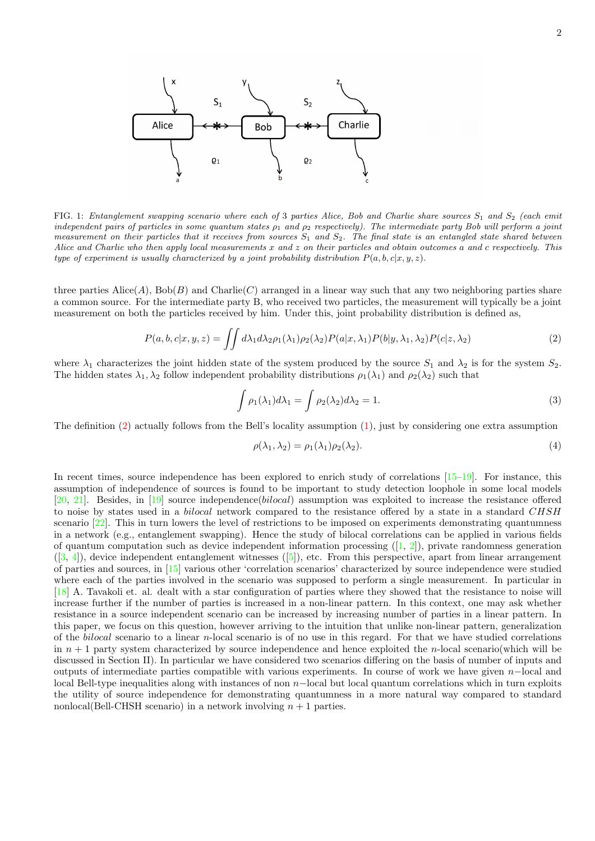

FIG. 1: Entanglement swapping scenario where each of 3 parties Alice, Bob and Charlie share sources  $S_1$  and  $S_2$  (each emit independent pairs of particles in some quantum states  $\rho_1$  and  $\rho_2$  respectively). The intermediate party Bob will perform a joint measurement on their particles that it receives from sources  $S_1$  and  $S_2$ . The final state is an entangled state shared between Alice and Charlie who then apply local measurements x and z on their particles and obtain outcomes a and c respectively. This type of experiment is usually characterized by a joint probability distribution  $P(a, b, c|x, y, z)$ .

three parties  $\text{Alice}(A)$ ,  $\text{Bob}(B)$  and  $\text{Charlie}(C)$  arranged in a linear way such that any two neighboring parties share a common source. For the intermediate party B, who received two particles, the measurement will typically be a joint measurement on both the particles received by him. Under this, joint probability distribution is defined as,

<span id="page-1-0"></span>
$$
P(a,b,c|x,y,z) = \iint d\lambda_1 d\lambda_2 \rho_1(\lambda_1) \rho_2(\lambda_2) P(a|x,\lambda_1) P(b|y,\lambda_1,\lambda_2) P(c|z,\lambda_2)
$$
 (2)

where  $\lambda_1$  characterizes the joint hidden state of the system produced by the source  $S_1$  and  $\lambda_2$  is for the system  $S_2$ . The hidden states  $\lambda_1, \lambda_2$  follow independent probability distributions  $\rho_1(\lambda_1)$  and  $\rho_2(\lambda_2)$  such that

$$
\int \rho_1(\lambda_1)d\lambda_1 = \int \rho_2(\lambda_2)d\lambda_2 = 1.
$$
\n(3)

The definition [\(2\)](#page-1-0) actually follows from the Bell's locality assumption [\(1\)](#page-0-3), just by considering one extra assumption

$$
\rho(\lambda_1, \lambda_2) = \rho_1(\lambda_1)\rho_2(\lambda_2). \tag{4}
$$

In recent times, source independence has been explored to enrich study of correlations  $[15-19]$  $[15-19]$ . For instance, this assumption of independence of sources is found to be important to study detection loophole in some local models [\[20,](#page-11-1) [21\]](#page-11-2). Besides, in [\[19\]](#page-11-0) source independence(bilocal) assumption was exploited to increase the resistance offered to noise by states used in a bilocal network compared to the resistance offered by a state in a standard CHSH scenario [\[22\]](#page-11-3). This in turn lowers the level of restrictions to be imposed on experiments demonstrating quantumness in a network (e.g., entanglement swapping). Hence the study of bilocal correlations can be applied in various fields of quantum computation such as device independent information processing  $(1, 2)$ , private randomness generation  $([3, 4])$  $([3, 4])$  $([3, 4])$  $([3, 4])$  $([3, 4])$ , device independent entanglement witnesses  $([5])$  $([5])$  $([5])$ , etc. From this perspective, apart from linear arrangement of parties and sources, in [\[15\]](#page-10-10) various other 'correlation scenarios' characterized by source independence were studied where each of the parties involved in the scenario was supposed to perform a single measurement. In particular in [\[18\]](#page-11-4) A. Tavakoli et. al. dealt with a star configuration of parties where they showed that the resistance to noise will increase further if the number of parties is increased in a non-linear pattern. In this context, one may ask whether resistance in a source independent scenario can be increased by increasing number of parties in a linear pattern. In this paper, we focus on this question, however arriving to the intuition that unlike non-linear pattern, generalization of the bilocal scenario to a linear n-local scenario is of no use in this regard. For that we have studied correlations in  $n + 1$  party system characterized by source independence and hence exploited the n-local scenario(which will be discussed in Section II). In particular we have considered two scenarios differing on the basis of number of inputs and outputs of intermediate parties compatible with various experiments. In course of work we have given n−local and local Bell-type inequalities along with instances of non n−local but local quantum correlations which in turn exploits the utility of source independence for demonstrating quantumness in a more natural way compared to standard nonlocal(Bell-CHSH scenario) in a network involving  $n + 1$  parties.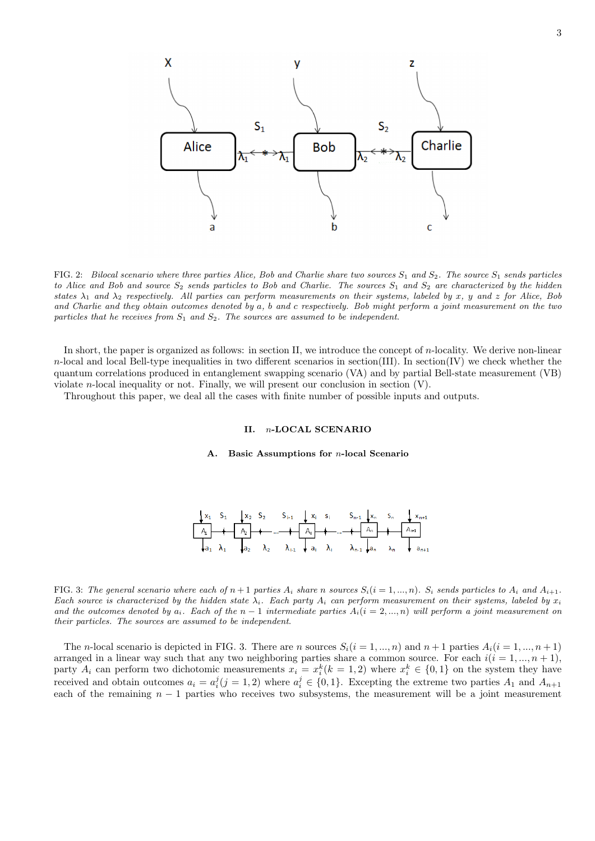

FIG. 2: Bilocal scenario where three parties Alice, Bob and Charlie share two sources  $S_1$  and  $S_2$ . The source  $S_1$  sends particles to Alice and Bob and source  $S_2$  sends particles to Bob and Charlie. The sources  $S_1$  and  $S_2$  are characterized by the hidden states  $\lambda_1$  and  $\lambda_2$  respectively. All parties can perform measurements on their systems, labeled by x, y and z for Alice, Bob and Charlie and they obtain outcomes denoted by a, b and c respectively. Bob might perform a joint measurement on the two particles that he receives from  $S_1$  and  $S_2$ . The sources are assumed to be independent.

In short, the paper is organized as follows: in section II, we introduce the concept of n-locality. We derive non-linear  $n$ -local and local Bell-type inequalities in two different scenarios in section(III). In section(IV) we check whether the quantum correlations produced in entanglement swapping scenario (VA) and by partial Bell-state measurement (VB) violate *n*-local inequality or not. Finally, we will present our conclusion in section  $(V)$ .

Throughout this paper, we deal all the cases with finite number of possible inputs and outputs.

## II. n-LOCAL SCENARIO

### A. Basic Assumptions for n-local Scenario



FIG. 3: The general scenario where each of  $n+1$  parties  $A_i$  share n sources  $S_i(i = 1, ..., n)$ .  $S_i$  sends particles to  $A_i$  and  $A_{i+1}$ . Each source is characterized by the hidden state  $\lambda_i$ . Each party  $A_i$  can perform measurement on their systems, labeled by  $x_i$ and the outcomes denoted by  $a_i$ . Each of the  $n-1$  intermediate parties  $A_i(i = 2, ..., n)$  will perform a joint measurement on their particles. The sources are assumed to be independent.

The n-local scenario is depicted in FIG. 3. There are n sources  $S_i(i = 1, ..., n)$  and  $n + 1$  parties  $A_i(i = 1, ..., n + 1)$ arranged in a linear way such that any two neighboring parties share a common source. For each  $i(i = 1, ..., n + 1)$ , party  $A_i$  can perform two dichotomic measurements  $x_i = x_i^k (k = 1, 2)$  where  $x_i^k \in \{0, 1\}$  on the system they have received and obtain outcomes  $a_i = a_i^j (j = 1, 2)$  where  $a_i^j \in \{0, 1\}$ . Excepting the extreme two parties  $A_1$  and  $A_{n+1}$ each of the remaining  $n - 1$  parties who receives two subsystems, the measurement will be a joint measurement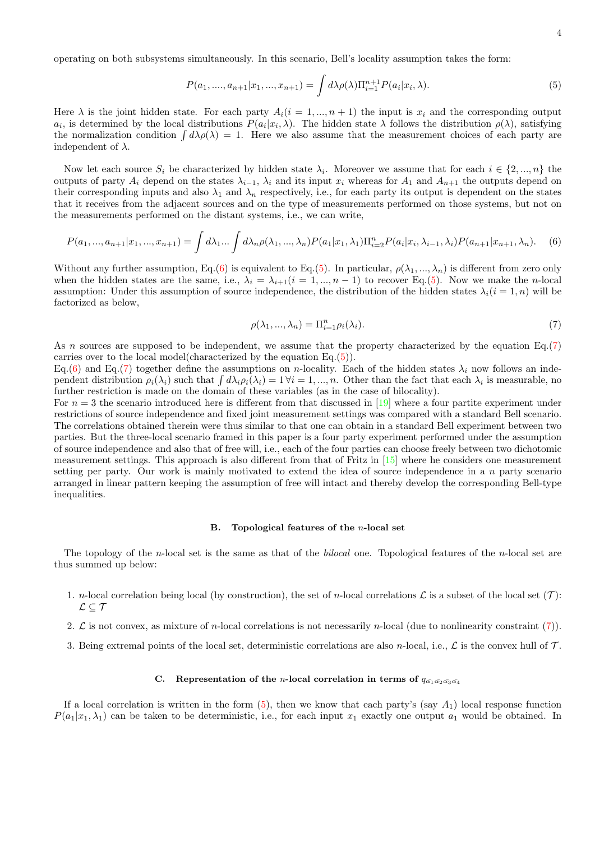operating on both subsystems simultaneously. In this scenario, Bell's locality assumption takes the form:

<span id="page-3-1"></span>
$$
P(a_1, ..., a_{n+1}|x_1, ..., x_{n+1}) = \int d\lambda \rho(\lambda) \Pi_{i=1}^{n+1} P(a_i|x_i, \lambda).
$$
 (5)

Here  $\lambda$  is the joint hidden state. For each party  $A_i(i = 1, ..., n + 1)$  the input is  $x_i$  and the corresponding output  $a_i$ , is determined by the local distributions  $P(a_i|x_i,\lambda)$ . The hidden state  $\lambda$  follows the distribution  $\rho(\lambda)$ , satisfying the normalization condition  $\int d\lambda \rho(\lambda) = 1$ . Here we also assume that the measurement choices of each party are independent of  $\lambda$ .

Now let each source  $S_i$  be characterized by hidden state  $\lambda_i$ . Moreover we assume that for each  $i \in \{2, ..., n\}$  the outputs of party  $A_i$  depend on the states  $\lambda_{i-1}$ ,  $\lambda_i$  and its input  $x_i$  whereas for  $A_1$  and  $A_{n+1}$  the outputs depend on their corresponding inputs and also  $\lambda_1$  and  $\lambda_n$  respectively, i.e., for each party its output is dependent on the states that it receives from the adjacent sources and on the type of measurements performed on those systems, but not on the measurements performed on the distant systems, i.e., we can write,

<span id="page-3-0"></span>
$$
P(a_1, ..., a_{n+1}|x_1, ..., x_{n+1}) = \int d\lambda_1 ... \int d\lambda_n \rho(\lambda_1, ..., \lambda_n) P(a_1|x_1, \lambda_1) \Pi_{i=2}^n P(a_i|x_i, \lambda_{i-1}, \lambda_i) P(a_{n+1}|x_{n+1}, \lambda_n).
$$
 (6)

Without any further assumption, Eq.[\(6\)](#page-3-0) is equivalent to Eq.[\(5\)](#page-3-1). In particular,  $\rho(\lambda_1, ..., \lambda_n)$  is different from zero only when the hidden states are the same, i.e.,  $\lambda_i = \lambda_{i+1}(i = 1, ..., n-1)$  to recover Eq.[\(5\)](#page-3-1). Now we make the *n*-local assumption: Under this assumption of source independence, the distribution of the hidden states  $\lambda_i(i = 1, n)$  will be factorized as below,

<span id="page-3-2"></span>
$$
\rho(\lambda_1, ..., \lambda_n) = \Pi_{i=1}^n \rho_i(\lambda_i). \tag{7}
$$

As n sources are supposed to be independent, we assume that the property characterized by the equation Eq.[\(7\)](#page-3-2) carries over to the local model(characterized by the equation Eq.[\(5\)](#page-3-1)).

Eq.[\(6\)](#page-3-0) and Eq.[\(7\)](#page-3-2) together define the assumptions on n-locality. Each of the hidden states  $\lambda_i$  now follows an independent distribution  $\rho_i(\lambda_i)$  such that  $\int d\lambda_i \rho_i(\lambda_i) = 1 \forall i = 1, ..., n$ . Other than the fact that each  $\lambda_i$  is measurable, no further restriction is made on the domain of these variables (as in the case of bilocality).

For  $n = 3$  the scenario introduced here is different from that discussed in [\[19\]](#page-11-0) where a four partite experiment under restrictions of source independence and fixed joint measurement settings was compared with a standard Bell scenario. The correlations obtained therein were thus similar to that one can obtain in a standard Bell experiment between two parties. But the three-local scenario framed in this paper is a four party experiment performed under the assumption of source independence and also that of free will, i.e., each of the four parties can choose freely between two dichotomic measurement settings. This approach is also different from that of Fritz in [\[15\]](#page-10-10) where he considers one measurement setting per party. Our work is mainly motivated to extend the idea of source independence in a  $n$  party scenario arranged in linear pattern keeping the assumption of free will intact and thereby develop the corresponding Bell-type inequalities.

#### B. Topological features of the  $n$ -local set

The topology of the  $n$ -local set is the same as that of the *bilocal* one. Topological features of the  $n$ -local set are thus summed up below:

- 1. *n*-local correlation being local (by construction), the set of *n*-local correlations  $\mathcal L$  is a subset of the local set  $(\mathcal T)$ :  $\mathcal{L} \subseteq \mathcal{T}$
- 2.  $\mathcal L$  is not convex, as mixture of *n*-local correlations is not necessarily *n*-local (due to nonlinearity constraint [\(7\)](#page-3-2)).
- 3. Being extremal points of the local set, deterministic correlations are also n-local, i.e.,  $\mathcal L$  is the convex hull of  $\mathcal T$ .

## C. Representation of the *n*-local correlation in terms of  $q_{\bar{\alpha_1} \bar{\alpha_2} \bar{\alpha_3} \bar{\alpha_4}}$

If a local correlation is written in the form  $(5)$ , then we know that each party's (say  $A_1$ ) local response function  $P(a_1|x_1, \lambda_1)$  can be taken to be deterministic, i.e., for each input  $x_1$  exactly one output  $a_1$  would be obtained. In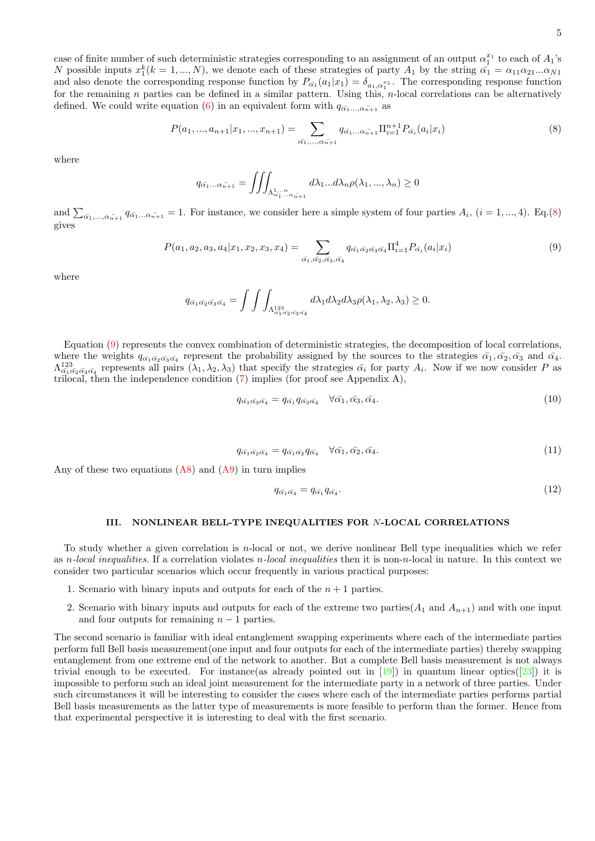case of finite number of such deterministic strategies corresponding to an assignment of an output  $\alpha_1^{x_1}$  to each of  $A_1$ 's Case of finite number of such deterministic strategies corresponding to an assignment of an output  $a_1$  to each of  $A_1$  so  $N$  possible inputs  $x_1^k (k = 1, ..., N)$ , we denote each of these strategies of party  $A_1$  by the s and also denote the corresponding response function by  $P_{\alpha_1}(a_1|x_1) = \delta_{a_1,\alpha_1^{x_1}}$ . The corresponding response function for the remaining n parties can be defined in a similar pattern. Using this,  $n$ -local correlations can be alternatively defined. We could write equation [\(6\)](#page-3-0) in an equivalent form with  $q_{\bar{\alpha_1}...\bar{\alpha_{n+1}}}$  as

<span id="page-4-0"></span>
$$
P(a_1, ..., a_{n+1}|x_1, ..., x_{n+1}) = \sum_{\bar{\alpha_1}, ..., \bar{\alpha_{n+1}}} q_{\bar{\alpha_1} \dots \bar{\alpha_{n+1}}} \Pi_{i=1}^{n+1} P_{\bar{\alpha_i}}(a_i|x_i)
$$
(8)

where

$$
q_{\bar{\alpha_1}...\bar{\alpha_{n+1}}} = \iiint_{\Lambda_{\bar{\alpha_1}...\bar{\alpha_{n+1}}}^1} d\lambda_1 ... d\lambda_n \rho(\lambda_1, ..., \lambda_n) \ge 0
$$

and  $\sum_{\bar{\alpha_1},\ldots,\bar{\alpha_{n+1}}} q_{\bar{\alpha_1}\ldots \bar{\alpha_{n+1}}} = 1$ . For instance, we consider here a simple system of four parties  $A_i$ ,  $(i = 1, ..., 4)$ . Eq.[\(8\)](#page-4-0) gives

<span id="page-4-1"></span>
$$
P(a_1, a_2, a_3, a_4 | x_1, x_2, x_3, x_4) = \sum_{\bar{\alpha_1}, \bar{\alpha_2}, \bar{\alpha_3}, \bar{\alpha_4}} q_{\bar{\alpha_1} \bar{\alpha_2} \bar{\alpha_3} \bar{\alpha_4}} \Pi_{i=1}^4 P_{\bar{\alpha_i}}(a_i | x_i)
$$
(9)

where

$$
q_{\bar{\alpha_1}\bar{\alpha_2}\bar{\alpha_3}\bar{\alpha_4}} = \int \int \int_{\Lambda_{\bar{\alpha_1}\bar{\alpha_2}\bar{\alpha_3}\bar{\alpha_4}} d\lambda_1 d\lambda_2 d\lambda_3 \rho(\lambda_1, \lambda_2, \lambda_3) \geq 0.
$$

Equation [\(9\)](#page-4-1) represents the convex combination of deterministic strategies, the decomposition of local correlations, where the weights  $q_{\bar{\alpha_1}\bar{\alpha_2}\bar{\alpha_3}\bar{\alpha_4}}$  represent the probability assigned by the sources to the strategies  $\bar{\alpha_1}, \bar{\alpha_2}, \bar{\alpha_3}$  and  $\bar{\alpha_4}$ .  $\Lambda_{\bar{\alpha_1}\bar{\alpha_2}\bar{\alpha_3}\bar{\alpha_4}}^{123}$  represents all pairs  $(\lambda_1, \lambda_2, \lambda_3)$  that specify the strategies  $\bar{\alpha_i}$  for party  $A_i$ . Now if we now consider P as trilocal, then the independence condition  $(7)$  implies (for proof see Appendix A),

$$
q_{\bar{\alpha_1}\bar{\alpha_3}\bar{\alpha_4}} = q_{\bar{\alpha_1}}q_{\bar{\alpha_3}\bar{\alpha_4}} \quad \forall \bar{\alpha_1}, \bar{\alpha_3}, \bar{\alpha_4}.
$$
\n
$$
(10)
$$

$$
q_{\bar{\alpha_1}\bar{\alpha_2}\bar{\alpha_4}} = q_{\bar{\alpha_1}\bar{\alpha_2}} q_{\bar{\alpha_4}} \quad \forall \bar{\alpha_1}, \bar{\alpha_2}, \bar{\alpha_4}.
$$
\n
$$
(11)
$$

Any of these two equations  $(A8)$  and  $(A9)$  in turn implies

$$
q_{\bar{\alpha_1}\bar{\alpha_4}} = q_{\bar{\alpha_1}}q_{\bar{\alpha_4}}.\tag{12}
$$

### III. NONLINEAR BELL-TYPE INEQUALITIES FOR N-LOCAL CORRELATIONS

To study whether a given correlation is n-local or not, we derive nonlinear Bell type inequalities which we refer as n-local inequalities. If a correlation violates  $n$ -local inequalities then it is non-n-local in nature. In this context we consider two particular scenarios which occur frequently in various practical purposes:

- 1. Scenario with binary inputs and outputs for each of the  $n + 1$  parties.
- 2. Scenario with binary inputs and outputs for each of the extreme two parties( $A_1$  and  $A_{n+1}$ ) and with one input and four outputs for remaining  $n - 1$  parties.

The second scenario is familiar with ideal entanglement swapping experiments where each of the intermediate parties perform full Bell basis measurement(one input and four outputs for each of the intermediate parties) thereby swapping entanglement from one extreme end of the network to another. But a complete Bell basis measurement is not always trivial enough to be executed. For instance(as already pointed out in  $[19]$ ) in quantum linear optics( $[23]$ ) it is impossible to perform such an ideal joint measurement for the intermediate party in a network of three parties. Under such circumstances it will be interesting to consider the cases where each of the intermediate parties performs partial Bell basis measurements as the latter type of measurements is more feasible to perform than the former. Hence from that experimental perspective it is interesting to deal with the first scenario.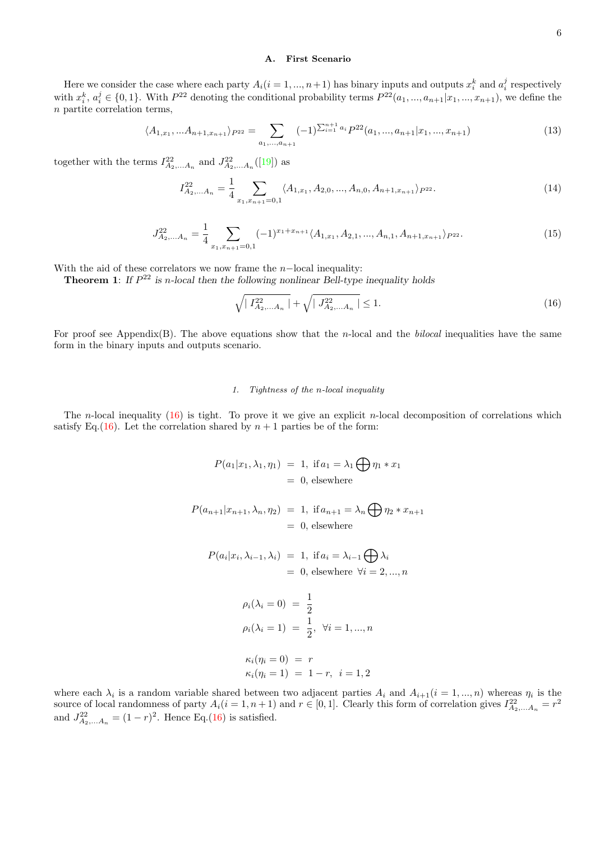## A. First Scenario

Here we consider the case where each party  $A_i(i = 1, ..., n+1)$  has binary inputs and outputs  $x_i^k$  and  $a_i^j$  respectively with  $x_i^k$ ,  $a_i^j \in \{0,1\}$ . With  $P^{22}$  denoting the conditional probability terms  $P^{22}(a_1, ..., a_{n+1}|x_1, ..., x_{n+1})$ , we define the n partite correlation terms,

<span id="page-5-3"></span>
$$
\langle A_{1,x_1}, \dots A_{n+1,x_{n+1}} \rangle_{P^{22}} = \sum_{a_1, \dots, a_{n+1}} (-1)^{\sum_{i=1}^{n+1} a_i} P^{22}(a_1, \dots, a_{n+1}|x_1, \dots, x_{n+1})
$$
(13)

together with the terms  $I_{A_2,...A_n}^{22}$  and  $J_{A_2,...A_n}^{22}([19])$  $J_{A_2,...A_n}^{22}([19])$  $J_{A_2,...A_n}^{22}([19])$  as

<span id="page-5-1"></span>
$$
I_{A_2,...A_n}^{22} = \frac{1}{4} \sum_{x_1, x_{n+1} = 0,1} \langle A_{1,x_1}, A_{2,0}, ..., A_{n,0}, A_{n+1,x_{n+1}} \rangle_{P^{22}}.
$$
 (14)

<span id="page-5-2"></span>
$$
J_{A_2,...A_n}^{22} = \frac{1}{4} \sum_{x_1, x_{n+1} = 0,1} (-1)^{x_1 + x_{n+1}} \langle A_{1,x_1}, A_{2,1}, ..., A_{n,1}, A_{n+1,x_{n+1}} \rangle_{P^{22}}.
$$
 (15)

With the aid of these correlators we now frame the  $n$ –local inequality:

**Theorem 1:** If  $P^{22}$  is n-local then the following nonlinear Bell-type inequality holds

<span id="page-5-0"></span>
$$
\sqrt{\mid I_{A_2,...A_n}^{22}\mid} + \sqrt{\mid J_{A_2,...A_n}^{22}\mid} \le 1.
$$
\n(16)

For proof see Appendix(B). The above equations show that the n-local and the bilocal inequalities have the same form in the binary inputs and outputs scenario.

## 1. Tightness of the n-local inequality

The *n*-local inequality  $(16)$  is tight. To prove it we give an explicit *n*-local decomposition of correlations which satisfy Eq.[\(16\)](#page-5-0). Let the correlation shared by  $n + 1$  parties be of the form:

$$
P(a_1|x_1, \lambda_1, \eta_1) = 1, \text{ if } a_1 = \lambda_1 \bigoplus \eta_1 * x_1
$$
  
= 0, elsewhere

$$
P(a_{n+1}|x_{n+1}, \lambda_n, \eta_2) = 1, \text{ if } a_{n+1} = \lambda_n \bigoplus \eta_2 * x_{n+1}
$$
  
= 0, elsewhere

$$
P(a_i|x_i, \lambda_{i-1}, \lambda_i) = 1, \text{ if } a_i = \lambda_{i-1} \bigoplus \lambda_i
$$
  
= 0, elsewhere  $\forall i = 2, ..., n$ 

$$
\rho_i(\lambda_i = 0) = \frac{1}{2}
$$
  
\n
$$
\rho_i(\lambda_i = 1) = \frac{1}{2}, \forall i = 1, ..., n
$$
  
\n
$$
\kappa_i(\eta_i = 0) = r
$$
  
\n
$$
\kappa_i(\eta_i = 1) = 1 - r, \quad i = 1, 2
$$

where each  $\lambda_i$  is a random variable shared between two adjacent parties  $A_i$  and  $A_{i+1}$  ( $i = 1, ..., n$ ) whereas  $\eta_i$  is the source of local randomness of party  $A_i(i = 1, n + 1)$  and  $r \in [0, 1]$ . Clearly this form of correlation gives  $I_{A_2,...A_n}^{22} = r^2$ and  $J_{A_2,...A_n}^{22} = (1 - r)^2$ . Hence Eq.[\(16\)](#page-5-0) is satisfied.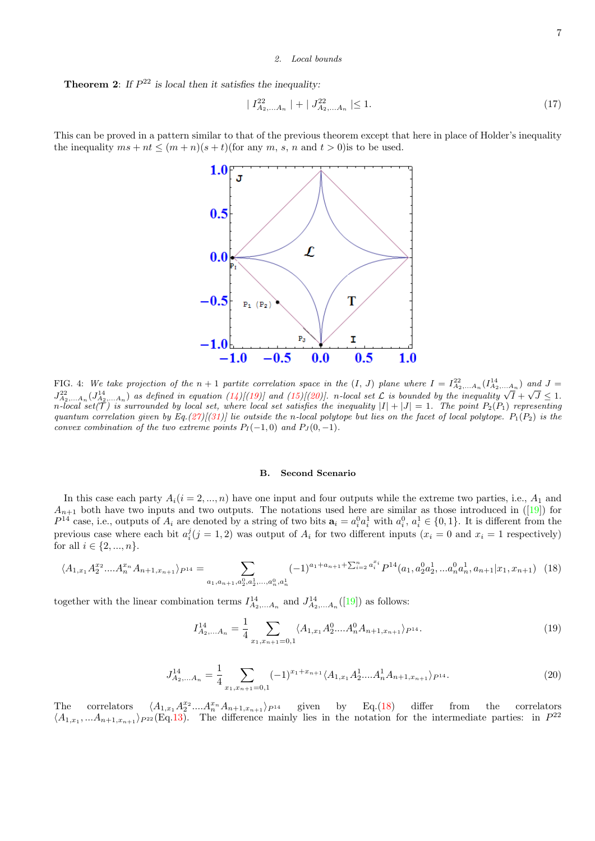## 2. Local bounds

**Theorem 2:** If  $P^{22}$  is local then it satisfies the inequality:

<span id="page-6-3"></span>
$$
|I_{A_2,...A_n}^{22}| + |J_{A_2,...A_n}^{22}| \le 1.
$$
 (17)

This can be proved in a pattern similar to that of the previous theorem except that here in place of Holder's inequality the inequality  $ms + nt \leq (m + n)(s + t)$  (for any m, s, n and  $t > 0$ ) is to be used.



FIG. 4: We take projection of the  $n+1$  partite correlation space in the  $(I, J)$  plane where  $I = I_{A_2,...A_n}^{22}(I_{A_2,...A_n}^{14})$  and  $J =$ Fig. 4. We take projection of the  $n + 1$  partite correlation space in the  $(1, 3)$  paint where  $T = T_{A_2,...A_n}(T_{A_2,...A_n})$  and  $T_{A_2,...A_n}$  and  $T_{A_2,...A_n}$  and  $T_{A_2,...A_n}$  and  $T_{A_2,...A_n}$  and  $T_{A_2,...A_n}$  are defined in equation n-local set(T) is surrounded by local set, where local set satisfies the inequality  $|I| + |J| = 1$ . The point  $P_2(P_1)$  representing quantum correlation given by Eq.[\(27\)](#page-8-0)[[\(31\)](#page-9-0)] lie outside the n-local polytope but lies on the facet of local polytope.  $P_1(P_2)$  is the convex combination of the two extreme points  $P_I(-1,0)$  and  $P_J(0,-1)$ .

#### B. Second Scenario

In this case each party  $A_i(i = 2, ..., n)$  have one input and four outputs while the extreme two parties, i.e.,  $A_1$  and  $A_{n+1}$  both have two inputs and two outputs. The notations used here are similar as those introduced in ([\[19\]](#page-11-0)) for  $P^{14}$  case, i.e., outputs of  $A_i$  are denoted by a string of two bits  $a_i = a_i^0 a_i^1$  with  $a_i^0, a_i^1 \in \{0,1\}$ . It is different from the previous case where each bit  $a_i^j$  ( $j = 1, 2$ ) was output of  $A_i$  for two different inputs ( $x_i = 0$  and  $x_i = 1$  respectively) for all  $i \in \{2, ..., n\}$ .

<span id="page-6-2"></span>
$$
\langle A_{1,x_1} A_2^{x_2} \dots A_n^{x_n} A_{n+1,x_{n+1}} \rangle_{P^{14}} = \sum_{a_1, a_{n+1}, a_2^0, a_2^1, \dots, a_n^0, a_n^1} (-1)^{a_1 + a_{n+1} + \sum_{i=2}^n a_i^{x_i}} P^{14}(a_1, a_2^0 a_2^1, \dots, a_n^0 a_n^1, a_{n+1} | x_1, x_{n+1}) \tag{18}
$$

together with the linear combination terms  $I_{A_2,...A_n}^{14}$  and  $J_{A_2,...A_n}^{14}([19])$  $J_{A_2,...A_n}^{14}([19])$  $J_{A_2,...A_n}^{14}([19])$  as follows:

<span id="page-6-0"></span>
$$
I_{A_2,...A_n}^{14} = \frac{1}{4} \sum_{x_1, x_{n+1}=0,1} \langle A_{1,x_1} A_2^0 .... A_n^0 A_{n+1,x_{n+1}} \rangle_{P^{14}}.
$$
 (19)

<span id="page-6-1"></span>
$$
J_{A_2,...A_n}^{14} = \frac{1}{4} \sum_{x_1, x_{n+1} = 0,1} (-1)^{x_1 + x_{n+1}} \langle A_{1,x_1} A_2^1 ... A_n^1 A_{n+1,x_{n+1}} \rangle_{P^{14}}.
$$
 (20)

The correlators  $\langle A_{1,x_1} A_2^{x_2} ... A_n^{x_n} A_{n+1,x_{n+1}} \rangle_{P^{14}}$  given by Eq.[\(18\)](#page-6-2) differ from the correlators  $\langle A_{1,x_1},...A_{n+1,x_{n+1}}\rangle_{P^{22}}(Eq.13)$  $\langle A_{1,x_1},...A_{n+1,x_{n+1}}\rangle_{P^{22}}(Eq.13)$ . The difference mainly lies in the notation for the intermediate parties: in  $P^{22}$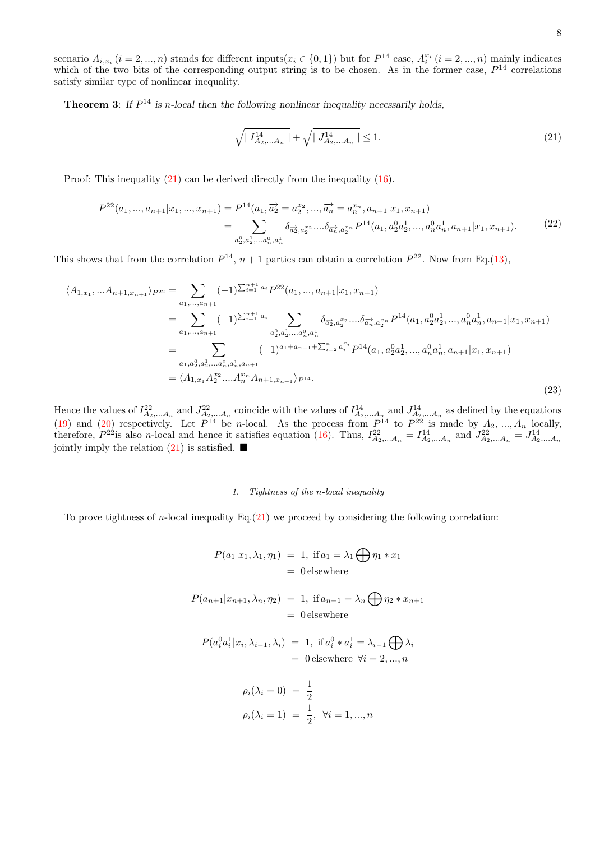8

scenario  $A_{i,x_i}$   $(i = 2,...,n)$  stands for different inputs $(x_i \in \{0,1\})$  but for  $P^{14}$  case,  $A_i^{x_i}$   $(i = 2,...,n)$  mainly indicates which of the two bits of the corresponding output string is to be chosen. As in the former case,  $P^{14}$  correlations satisfy similar type of nonlinear inequality.

**Theorem 3:** If  $P^{14}$  is n-local then the following nonlinear inequality necessarily holds,

<span id="page-7-0"></span>
$$
\sqrt{\mid I_{A_2,...A_n}^{14}\mid} + \sqrt{\mid J_{A_2,...A_n}^{14}\mid} \le 1.
$$
\n(21)

Proof: This inequality  $(21)$  can be derived directly from the inequality  $(16)$ .

$$
P^{22}(a_1, ..., a_{n+1}|x_1, ..., x_{n+1}) = P^{14}(a_1, \overrightarrow{a_2}) = a_2^{x_2}, ..., \overrightarrow{a_n} = a_n^{x_n}, a_{n+1}|x_1, x_{n+1})
$$
  
= 
$$
\sum_{a_2^0, a_2^1, ..., a_n^0, a_n^1} \delta_{\overrightarrow{a_2}, a_2^2} ... \delta_{\overrightarrow{a_n}, a_2^{x_n}} P^{14}(a_1, a_2^0 a_2^1, ..., a_n^0 a_n^1, a_{n+1}|x_1, x_{n+1}).
$$
 (22)

This shows that from the correlation  $P^{14}$ ,  $n+1$  parties can obtain a correlation  $P^{22}$ . Now from Eq.[\(13\)](#page-5-3),

$$
\langle A_{1,x_1},...A_{n+1,x_{n+1}}\rangle_{P^{22}} = \sum_{a_1,...,a_{n+1}} (-1)^{\sum_{i=1}^{n+1} a_i} P^{22}(a_1,...,a_{n+1}|x_1,x_{n+1})
$$
  
\n
$$
= \sum_{a_1,...,a_{n+1}} (-1)^{\sum_{i=1}^{n+1} a_i} \sum_{a_2^0, a_2^1,...a_n^0, a_n^1} \delta_{\overrightarrow{a_2}, a_2^2}...\delta_{\overrightarrow{a_n}, a_n^2} P^{14}(a_1, a_2^0 a_2^1, ..., a_n^0 a_n^1, a_{n+1}|x_1, x_{n+1})
$$
  
\n
$$
= \sum_{a_1,a_2^0,a_2^1,...a_n^0,a_n^1,a_{n+1}} (-1)^{a_1+a_{n+1}+\sum_{i=2}^n a_i^x} P^{14}(a_1, a_2^0 a_2^1, ..., a_n^0 a_n^1, a_{n+1}|x_1, x_{n+1})
$$
  
\n
$$
= \langle A_{1,x_1} A_2^{x_2}...A_n^{x_n} A_{n+1,x_{n+1}} \rangle_{P^{14}}.
$$
\n(23)

Hence the values of  $I_{A_2,...A_n}^{22}$  and  $J_{A_2,...A_n}^{22}$  coincide with the values of  $I_{A_2,...A_n}^{14}$  and  $J_{A_2,...A_n}^{14}$  as defined by the equations [\(19\)](#page-6-0) and [\(20\)](#page-6-1) respectively. Let  $P^{14}$  be *n*-local. As the process from  $P^{14}$  to  $P^{22}$  is made by  $A_2, ..., A_n$  locally, therefore,  $P^{22}$  is also n-local and hence it satisfies equation [\(16\)](#page-5-0). Thus,  $I_{A_2,...A_n}^{22} = I_{A_2,...A_n}^{14}$  and  $J_{A_2,...A_n}^{22} = J_{A_2,...A_n}^{14}$ jointly imply the relation  $(21)$  is satisfied.

## 1. Tightness of the n-local inequality

To prove tightness of *n*-local inequality Eq. $(21)$  we proceed by considering the following correlation:

$$
P(a_1|x_1, \lambda_1, \eta_1) = 1, \text{ if } a_1 = \lambda_1 \bigoplus \eta_1 * x_1
$$
  
= 0 elsewhere

$$
P(a_{n+1}|x_{n+1}, \lambda_n, \eta_2) = 1, \text{ if } a_{n+1} = \lambda_n \bigoplus \eta_2 * x_{n+1}
$$
  
= 0 elsewhere

$$
P(a_i^0 a_i^1 | x_i, \lambda_{i-1}, \lambda_i) = 1, \text{ if } a_i^0 * a_i^1 = \lambda_{i-1} \bigoplus \lambda_i
$$
  
= 0 elsewhere  $\forall i = 2, ..., n$ 

$$
\rho_i(\lambda_i = 0) = \frac{1}{2} \n\rho_i(\lambda_i = 1) = \frac{1}{2}, \forall i = 1, ..., n
$$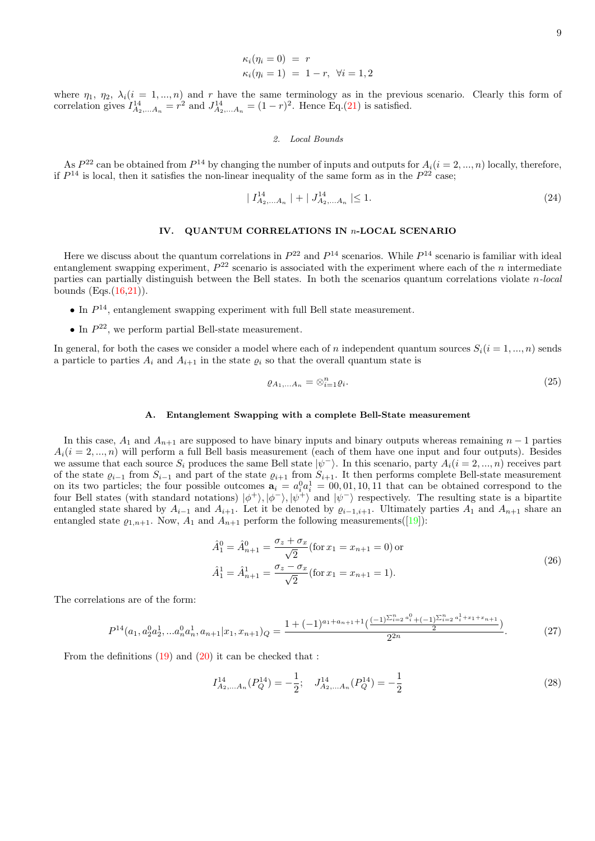$$
\begin{aligned}\n\kappa_i(\eta_i = 0) &= r \\
\kappa_i(\eta_i = 1) &= 1 - r, \ \forall i = 1, 2\n\end{aligned}
$$

where  $\eta_1, \eta_2, \lambda_i (i = 1, ..., n)$  and r have the same terminology as in the previous scenario. Clearly this form of correlation gives  $I_{A_2,...A_n}^{14} = r^2$  and  $J_{A_2,...A_n}^{14} = (1-r)^2$ . Hence Eq.[\(21\)](#page-7-0) is satisfied.

## 2. Local Bounds

As  $P^{22}$  can be obtained from  $P^{14}$  by changing the number of inputs and outputs for  $A_i(i = 2, ..., n)$  locally, therefore, if  $P^{14}$  is local, then it satisfies the non-linear inequality of the same form as in the  $P^{22}$  case;

<span id="page-8-1"></span>
$$
|I_{A_2,...A_n}^{14}| + |J_{A_2,...A_n}^{14}| \le 1.
$$
 (24)

## IV. QUANTUM CORRELATIONS IN n-LOCAL SCENARIO

Here we discuss about the quantum correlations in  $P^{22}$  and  $P^{14}$  scenarios. While  $P^{14}$  scenario is familiar with ideal entanglement swapping experiment,  $P^{22}$  scenario is associated with the experiment where each of the *n* intermediate parties can partially distinguish between the Bell states. In both the scenarios quantum correlations violate  $n$ -local bounds  $(Eqs.(16,21))$  $(Eqs.(16,21))$  $(Eqs.(16,21))$  $(Eqs.(16,21))$ .

- In  $P^{14}$ , entanglement swapping experiment with full Bell state measurement.
- $\bullet$  In  $P^{22}$ , we perform partial Bell-state measurement.

In general, for both the cases we consider a model where each of n independent quantum sources  $S_i(i = 1, ..., n)$  sends a particle to parties  $A_i$  and  $A_{i+1}$  in the state  $\varrho_i$  so that the overall quantum state is

$$
\varrho_{A_1,...A_n} = \otimes_{i=1}^n \varrho_i. \tag{25}
$$

#### A. Entanglement Swapping with a complete Bell-State measurement

In this case,  $A_1$  and  $A_{n+1}$  are supposed to have binary inputs and binary outputs whereas remaining  $n-1$  parties  $A_i(i = 2, ..., n)$  will perform a full Bell basis measurement (each of them have one input and four outputs). Besides we assume that each source  $S_i$  produces the same Bell state  $|\psi^-\rangle$ . In this scenario, party  $A_i(i=2,...,n)$  receives part of the state  $\varrho_{i-1}$  from  $S_{i-1}$  and part of the state  $\varrho_{i+1}$  from  $S_{i+1}$ . It then performs complete Bell-state measurement on its two particles; the four possible outcomes  $a_i = a_i^0 a_i^1 = 00, 01, 10, 11$  that can be obtained correspond to the four Bell states (with standard notations)  $|\phi^+\rangle, |\phi^-\rangle, |\psi^+\rangle$  and  $|\psi^-\rangle$  respectively. The resulting state is a bipartite entangled state shared by  $A_{i-1}$  and  $A_{i+1}$ . Let it be denoted by  $\varrho_{i-1,i+1}$ . Ultimately parties  $A_1$  and  $A_{n+1}$  share an entangled state  $\rho_{1,n+1}$ . Now,  $A_1$  and  $A_{n+1}$  perform the following measurements([\[19\]](#page-11-0)):

$$
\hat{A}_1^0 = \hat{A}_{n+1}^0 = \frac{\sigma_z + \sigma_x}{\sqrt{2}} \text{(for } x_1 = x_{n+1} = 0 \text{) or}
$$
\n
$$
\hat{A}_1^1 = \hat{A}_{n+1}^1 = \frac{\sigma_z - \sigma_x}{\sqrt{2}} \text{(for } x_1 = x_{n+1} = 1 \text{)}.
$$
\n(26)

<span id="page-8-2"></span>The correlations are of the form:

<span id="page-8-0"></span>
$$
P^{14}(a_1, a_2^0 a_2^1, \ldots, a_n^0 a_n^1, a_{n+1}|x_1, x_{n+1})_Q = \frac{1 + (-1)^{a_1 + a_{n+1} + 1} \left(\frac{(-1)^{\sum_{i=2}^n a_i^0} + (-1)^{\sum_{i=2}^n a_i^1 + x_1 + x_{n+1}}}{2}\right)}{2^{2n}}.
$$
 (27)

From the definitions  $(19)$  and  $(20)$  it can be checked that :

$$
I_{A_2,...A_n}^{14}(P_Q^{14}) = -\frac{1}{2}; \quad J_{A_2,...A_n}^{14}(P_Q^{14}) = -\frac{1}{2}
$$
\n
$$
(28)
$$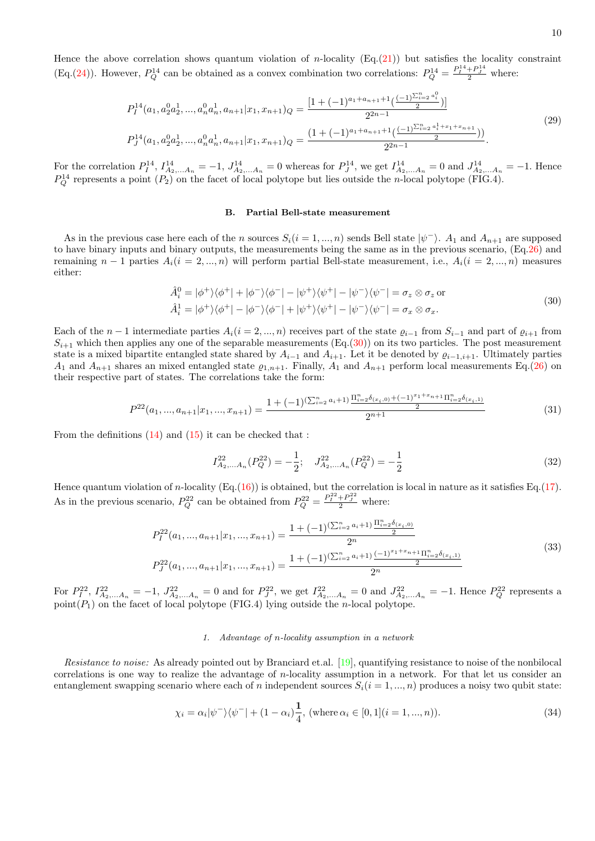Hence the above correlation shows quantum violation of *n*-locality (Eq.[\(21\)](#page-7-0)) but satisfies the locality constraint (Eq.[\(24\)](#page-8-1)). However,  $P_Q^{14}$  can be obtained as a convex combination two correlations:  $P_Q^{14} = \frac{P_I^{14} + P_J^{14}}{2}$  where:

$$
P_{I}^{14}(a_{1}, a_{2}^{0}a_{2}^{1},...,a_{n}^{0}a_{n}^{1}, a_{n+1}|x_{1}, x_{n+1})_{Q} = \frac{[1 + (-1)^{a_{1} + a_{n+1} + 1}(\frac{(-1)^{\sum_{i=2}^{n} a_{i}^{0}}}{2})]}{2^{2n-1}}
$$
  
\n
$$
P_{J}^{14}(a_{1}, a_{2}^{0}a_{2}^{1},...,a_{n}^{0}a_{n}^{1}, a_{n+1}|x_{1}, x_{n+1})_{Q} = \frac{(1 + (-1)^{a_{1} + a_{n+1} + 1}(\frac{(-1)^{\sum_{i=2}^{n} a_{i}^{1} + x_{1} + x_{n+1}}}{2})}{2^{2n-1}})
$$
\n
$$
(29)
$$

For the correlation  $P_I^{14}$ ,  $I_{A_2,...A_n}^{14} = -1$ ,  $J_{A_2,...A_n}^{14} = 0$  whereas for  $P_J^{14}$ , we get  $I_{A_2,...A_n}^{14} = 0$  and  $J_{A_2,...A_n}^{14} = -1$ . Hence  $P_Q^{14}$  represents a point  $(P_2)$  on the facet of local polytope but lies outside the *n*-local polytope (FIG.4).

### B. Partial Bell-state measurement

As in the previous case here each of the n sources  $S_i(i = 1, ..., n)$  sends Bell state  $|\psi^-\rangle$ .  $A_1$  and  $A_{n+1}$  are supposed to have binary inputs and binary outputs, the measurements being the same as in the previous scenario, (Eq[.26\)](#page-8-2) and remaining  $n-1$  parties  $A_i(i=2,...,n)$  will perform partial Bell-state measurement, i.e.,  $A_i(i=2,...,n)$  measures either:

$$
\hat{A}_i^0 = |\phi^+\rangle\langle\phi^+| + |\phi^-\rangle\langle\phi^-| - |\psi^+\rangle\langle\psi^+| - |\psi^-\rangle\langle\psi^-| = \sigma_z \otimes \sigma_z \text{ or}
$$
\n
$$
\hat{A}_i^1 = |\phi^+\rangle\langle\phi^+| - |\phi^-\rangle\langle\phi^-| + |\psi^+\rangle\langle\psi^+| - |\psi^-\rangle\langle\psi^-| = \sigma_x \otimes \sigma_x.
$$
\n(30)

<span id="page-9-1"></span>Each of the  $n-1$  intermediate parties  $A_i(i = 2, ..., n)$  receives part of the state  $\varrho_{i-1}$  from  $S_{i-1}$  and part of  $\varrho_{i+1}$  from  $S_{i+1}$  which then applies any one of the separable measurements (Eq.[\(30\)](#page-9-1)) on its two particles. The post measurement state is a mixed bipartite entangled state shared by  $A_{i-1}$  and  $A_{i+1}$ . Let it be denoted by  $\varrho_{i-1,i+1}$ . Ultimately parties  $A_1$  and  $A_{n+1}$  shares an mixed entangled state  $\varrho_{1,n+1}$ . Finally,  $A_1$  and  $A_{n+1}$  perform local measurements Eq.[\(26\)](#page-8-2) on their respective part of states. The correlations take the form:

<span id="page-9-0"></span>
$$
P^{22}(a_1, ..., a_{n+1}|x_1, ..., x_{n+1}) = \frac{1 + (-1)^{(\sum_{i=2}^n a_i + 1)} \frac{\Pi_{i=2}^n \delta_{(x_i,0)} + (-1)^{x_1 + x_{n+1}} \Pi_{i=2}^n \delta_{(x_i,1)}}{2^{n+1}}
$$
(31)

From the definitions [\(14\)](#page-5-1) and [\(15\)](#page-5-2) it can be checked that :

$$
I_{A_2,...A_n}^{22}(P_Q^{22}) = -\frac{1}{2}; \quad J_{A_2,...A_n}^{22}(P_Q^{22}) = -\frac{1}{2}
$$
\n
$$
(32)
$$

Hence quantum violation of n-locality  $(Eq.(16))$  $(Eq.(16))$  $(Eq.(16))$  is obtained, but the correlation is local in nature as it satisfies Eq.[\(17\)](#page-6-3). As in the previous scenario,  $P_Q^{22}$  can be obtained from  $P_Q^{22} = \frac{P_I^{22} + P_J^{22}}{2}$  where:

$$
P_{I}^{22}(a_1,...,a_{n+1}|x_1,...,x_{n+1}) = \frac{1 + (-1)^{\left(\sum_{i=2}^n a_i + 1\right)} \frac{\prod_{i=2}^n \delta_{(x_i,0)}}{2}}{2^n}
$$
  

$$
P_{J}^{22}(a_1,...,a_{n+1}|x_1,...,x_{n+1}) = \frac{1 + (-1)^{\left(\sum_{i=2}^n a_i + 1\right)} \frac{(-1)^{x_1 + x_{n+1}} \prod_{i=2}^n \delta_{(x_i,1)}}{2^n}}{2^n}
$$
(33)

For  $P_1^{22}$ ,  $I_{A_2,...A_n}^{22} = -1$ ,  $J_{A_2,...A_n}^{22} = 0$  and for  $P_J^{22}$ , we get  $I_{A_2,...A_n}^{22} = 0$  and  $J_{A_2,...A_n}^{22} = -1$ . Hence  $P_Q^{22}$  represents a point $(P_1)$  on the facet of local polytope (FIG.4) lying outside the *n*-local polytope.

### 1. Advantage of n-locality assumption in a network

Resistance to noise: As already pointed out by Branciard et.al. [\[19\]](#page-11-0), quantifying resistance to noise of the nonbilocal correlations is one way to realize the advantage of n-locality assumption in a network. For that let us consider an entanglement swapping scenario where each of n independent sources  $S_i(i = 1, ..., n)$  produces a noisy two qubit state:

$$
\chi_i = \alpha_i |\psi^{-}\rangle\langle\psi^{-}| + (1 - \alpha_i) \frac{1}{4}, \text{ (where } \alpha_i \in [0, 1](i = 1, ..., n)).
$$
\n(34)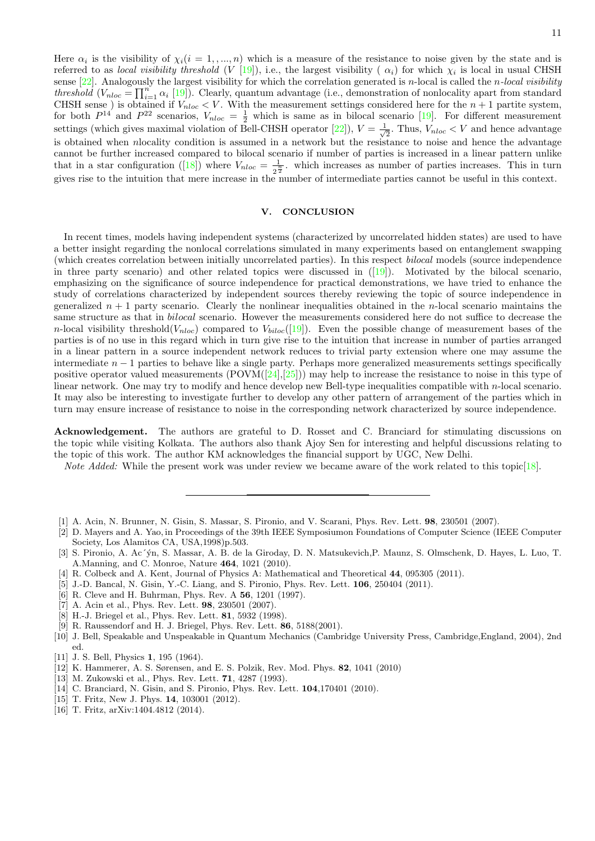Here  $\alpha_i$  is the visibility of  $\chi_i(i=1,...,n)$  which is a measure of the resistance to noise given by the state and is referred to as *local visibility threshold* (V [\[19\]](#page-11-0)), i.e., the largest visibility ( $\alpha_i$ ) for which  $\chi_i$  is local in usual CHSH sense  $[22]$ . Analogously the largest visibility for which the correlation generated is *n*-local is called the *n*-local visibility threshold  $(V_{nloc} = \prod_{i=1}^{n} \alpha_i$  [\[19\]](#page-11-0)). Clearly, quantum advantage (i.e., demonstration of nonlocality apart from standard CHSH sense) is obtained if  $V_{nloc} < V$ . With the measurement settings considered here for the  $n+1$  partite system, for both  $P^{14}$  and  $P^{22}$  scenarios,  $V_{nloc} = \frac{1}{2}$  which is same as in bilocal scenario [\[19\]](#page-11-0). For different measurement settings (which gives maximal violation of Bell-CHSH operator [\[22\]](#page-11-3)),  $V = \frac{1}{\sqrt{2}}$  $\frac{1}{2}$ . Thus,  $V_{nloc} < V$  and hence advantage is obtained when nlocality condition is assumed in a network but the resistance to noise and hence the advantage cannot be further increased compared to bilocal scenario if number of parties is increased in a linear pattern unlike that in a star configuration ([\[18\]](#page-11-4)) where  $V_{nloc} = \frac{1}{2^n}$  $\frac{1}{2^{\frac{n}{2}}}$  which increases as number of parties increases. This in turn gives rise to the intuition that mere increase in the number of intermediate parties cannot be useful in this context.

### V. CONCLUSION

In recent times, models having independent systems (characterized by uncorrelated hidden states) are used to have a better insight regarding the nonlocal correlations simulated in many experiments based on entanglement swapping (which creates correlation between initially uncorrelated parties). In this respect bilocal models (source independence in three party scenario) and other related topics were discussed in ([\[19\]](#page-11-0)). Motivated by the bilocal scenario, emphasizing on the significance of source independence for practical demonstrations, we have tried to enhance the study of correlations characterized by independent sources thereby reviewing the topic of source independence in generalized  $n + 1$  party scenario. Clearly the nonlinear inequalities obtained in the *n*-local scenario maintains the same structure as that in *bilocal* scenario. However the measurements considered here do not suffice to decrease the n-local visibility threshold( $V_{nloc}$ ) compared to  $V_{biloc}([19])$  $V_{biloc}([19])$  $V_{biloc}([19])$ . Even the possible change of measurement bases of the parties is of no use in this regard which in turn give rise to the intuition that increase in number of parties arranged in a linear pattern in a source independent network reduces to trivial party extension where one may assume the intermediate  $n-1$  parties to behave like a single party. Perhaps more generalized measurements settings specifically positive operator valued measurements  $(POVM([24],[25]))$  $(POVM([24],[25]))$  $(POVM([24],[25]))$  $(POVM([24],[25]))$  $(POVM([24],[25]))$  may help to increase the resistance to noise in this type of linear network. One may try to modify and hence develop new Bell-type inequalities compatible with n-local scenario. It may also be interesting to investigate further to develop any other pattern of arrangement of the parties which in turn may ensure increase of resistance to noise in the corresponding network characterized by source independence.

Acknowledgement. The authors are grateful to D. Rosset and C. Branciard for stimulating discussions on the topic while visiting Kolkata. The authors also thank Ajoy Sen for interesting and helpful discussions relating to the topic of this work. The author KM acknowledges the financial support by UGC, New Delhi.

Note Added: While the present work was under review we became aware of the work related to this topic[\[18\]](#page-11-4).

- <span id="page-10-0"></span>[1] A. Acin, N. Brunner, N. Gisin, S. Massar, S. Pironio, and V. Scarani, Phys. Rev. Lett. 98, 230501 (2007).
- <span id="page-10-11"></span>[2] D. Mayers and A. Yao, in Proceedings of the 39th IEEE Symposiumon Foundations of Computer Science (IEEE Computer Society, Los Alamitos CA, USA,1998)p.503.
- <span id="page-10-12"></span>[3] S. Pironio, A. Ac´´yn, S. Massar, A. B. de la Giroday, D. N. Matsukevich,P. Maunz, S. Olmschenk, D. Hayes, L. Luo, T. A.Manning, and C. Monroe, Nature 464, 1021 (2010).
- <span id="page-10-13"></span>[4] R. Colbeck and A. Kent, Journal of Physics A: Mathematical and Theoretical 44, 095305 (2011).
- <span id="page-10-1"></span>[5] J.-D. Bancal, N. Gisin, Y.-C. Liang, and S. Pironio, Phys. Rev. Lett. 106, 250404 (2011).
- <span id="page-10-2"></span>[6] R. Cleve and H. Buhrman, Phys. Rev. A 56, 1201 (1997).
- [7] A. Acin et al., Phys. Rev. Lett. **98**, 230501 (2007).
- <span id="page-10-6"></span>[8] H.-J. Briegel et al., Phys. Rev. Lett. 81, 5932 (1998).
- <span id="page-10-3"></span>[9] R. Raussendorf and H. J. Briegel, Phys. Rev. Lett. 86, 5188(2001).
- <span id="page-10-4"></span>[10] J. Bell, Speakable and Unspeakable in Quantum Mechanics (Cambridge University Press, Cambridge,England, 2004), 2nd ed.
- <span id="page-10-5"></span>[11] J. S. Bell, Physics **1**, 195 (1964).
- <span id="page-10-7"></span>[12] K. Hammerer, A. S. Sørensen, and E. S. Polzik, Rev. Mod. Phys. 82, 1041 (2010)
- <span id="page-10-8"></span>[13] M. Zukowski et al., Phys. Rev. Lett. **71**, 4287 (1993).
- <span id="page-10-9"></span>[14] C. Branciard, N. Gisin, and S. Pironio, Phys. Rev. Lett. **104**,170401 (2010).
- <span id="page-10-10"></span>[15] T. Fritz, New J. Phys. **14**, 103001 (2012).
- [16] T. Fritz, arXiv:1404.4812 (2014).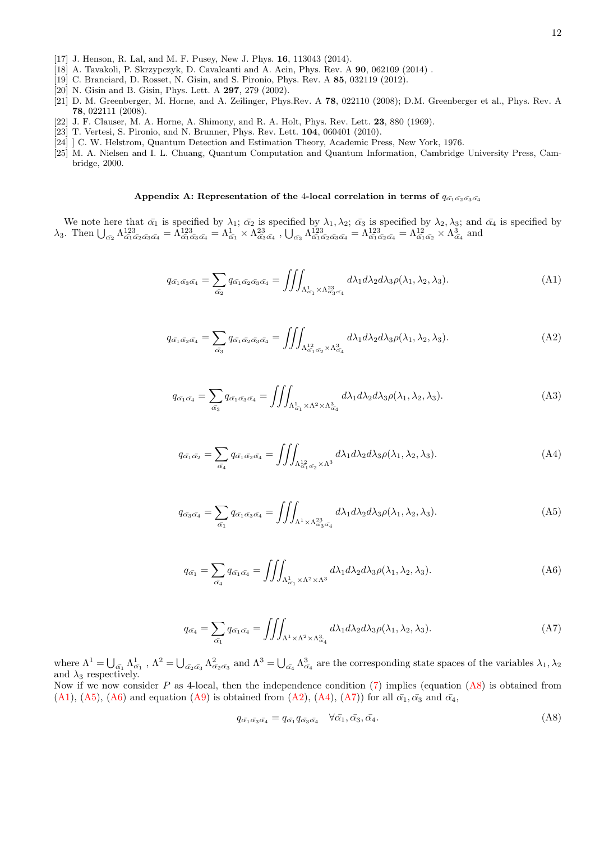- [17] J. Henson, R. Lal, and M. F. Pusey, New J. Phys. 16, 113043 (2014).
- <span id="page-11-4"></span>[18] A. Tavakoli, P. Skrzypczyk, D. Cavalcanti and A. Acin, Phys. Rev. A 90, 062109 (2014) .
- <span id="page-11-0"></span>[19] C. Branciard, D. Rosset, N. Gisin, and S. Pironio, Phys. Rev. A 85, 032119 (2012).
- <span id="page-11-1"></span>[20] N. Gisin and B. Gisin, Phys. Lett. A 297, 279 (2002).
- <span id="page-11-2"></span>[21] D. M. Greenberger, M. Horne, and A. Zeilinger, Phys.Rev. A 78, 022110 (2008); D.M. Greenberger et al., Phys. Rev. A 78, 022111 (2008).
- <span id="page-11-3"></span>[22] J. F. Clauser, M. A. Horne, A. Shimony, and R. A. Holt, Phys. Rev. Lett. 23, 880 (1969).
- <span id="page-11-6"></span>[23] T. Vertesi, S. Pironio, and N. Brunner, Phys. Rev. Lett. 104, 060401 (2010).
- <span id="page-11-7"></span>[24] ] C. W. Helstrom, Quantum Detection and Estimation Theory, Academic Press, New York, 1976.
- <span id="page-11-8"></span>[25] M. A. Nielsen and I. L. Chuang, Quantum Computation and Quantum Information, Cambridge University Press, Cambridge, 2000.

# Appendix A: Representation of the 4-local correlation in terms of  $q_{\alpha_1\alpha_2\alpha_3\alpha_4}$

We note here that  $\bar{\alpha_1}$  is specified by  $\lambda_1$ ;  $\bar{\alpha_2}$  is specified by  $\lambda_1, \lambda_2$ ;  $\bar{\alpha_3}$  is specified by  $\lambda_2, \lambda_3$ ; and  $\bar{\alpha_4}$  is specified by  $\lambda_3$ . Then  $\bigcup_{\bar{\alpha_2}} \Lambda^{123}_{\bar{\alpha_1} \bar{\alpha_2} \bar{\alpha_3} \bar{\alpha_4}} = \Lambda^{123}_{\bar{\alpha_1} \bar{\alpha_3} \bar{\alpha_4}} = \Lambda^{12}_{\bar{\alpha_1}} \times \Lambda^{23}_{\bar{\alpha_3} \bar{\alpha_4}}$ ,  $\bigcup_{\bar{\alpha_3}} \Lambda^{123}_{\bar{\alpha_1} \bar{\alpha_2} \bar{\alpha_3} \bar{\alpha_4}} = \Lambda^{123}_{\bar{\alpha_1} \bar{\alpha_2} \bar{\alpha_4}} = \Lambda^{12}_{\bar{\alpha_1} \bar{\$ 

<span id="page-11-9"></span>
$$
q_{\bar{\alpha_1}\bar{\alpha_3}\bar{\alpha_4}} = \sum_{\bar{\alpha_2}} q_{\bar{\alpha_1}\bar{\alpha_2}\bar{\alpha_3}\bar{\alpha_4}} = \iiint_{\Lambda^1_{\bar{\alpha_1}} \times \Lambda^{23}_{\bar{\alpha_3}\bar{\alpha_4}}} d\lambda_1 d\lambda_2 d\lambda_3 \rho(\lambda_1, \lambda_2, \lambda_3).
$$
 (A1)

<span id="page-11-12"></span>
$$
q_{\bar{\alpha_1}\bar{\alpha_2}\bar{\alpha_4}} = \sum_{\bar{\alpha_3}} q_{\bar{\alpha_1}\bar{\alpha_2}\bar{\alpha_3}\bar{\alpha_4}} = \iiint_{\Lambda_{\bar{\alpha_1}\bar{\alpha_2}}^{\,12} \times \Lambda_{\bar{\alpha_4}}^{\,3}} d\lambda_1 d\lambda_2 d\lambda_3 \rho(\lambda_1, \lambda_2, \lambda_3). \tag{A2}
$$

$$
q_{\bar{\alpha_1}\bar{\alpha_4}} = \sum_{\bar{\alpha_3}} q_{\bar{\alpha_1}\bar{\alpha_3}\bar{\alpha_4}} = \iiint_{\Lambda^1_{\bar{\alpha_1}} \times \Lambda^2 \times \Lambda^3_{\bar{\alpha_4}}} d\lambda_1 d\lambda_2 d\lambda_3 \rho(\lambda_1, \lambda_2, \lambda_3). \tag{A3}
$$

<span id="page-11-13"></span>
$$
q_{\bar{\alpha_1}\bar{\alpha_2}} = \sum_{\bar{\alpha_4}} q_{\bar{\alpha_1}\bar{\alpha_2}\bar{\alpha_4}} = \iiint_{\Lambda_{\bar{\alpha_1}\bar{\alpha_2}}^{\,12} \times \Lambda^3} d\lambda_1 d\lambda_2 d\lambda_3 \rho(\lambda_1, \lambda_2, \lambda_3). \tag{A4}
$$

<span id="page-11-10"></span>
$$
q_{\bar{\alpha_3}\bar{\alpha_4}} = \sum_{\bar{\alpha_1}} q_{\bar{\alpha_1}\bar{\alpha_3}\bar{\alpha_4}} = \iiint_{\Lambda^1 \times \Lambda^{23}_{\bar{\alpha_3}\bar{\alpha_4}}} d\lambda_1 d\lambda_2 d\lambda_3 \rho(\lambda_1, \lambda_2, \lambda_3).
$$
 (A5)

<span id="page-11-11"></span>
$$
q_{\bar{\alpha_1}} = \sum_{\bar{\alpha_4}} q_{\bar{\alpha_1}\bar{\alpha_4}} = \iiint_{\Lambda^1_{\bar{\alpha_1}} \times \Lambda^2 \times \Lambda^3} d\lambda_1 d\lambda_2 d\lambda_3 \rho(\lambda_1, \lambda_2, \lambda_3).
$$
 (A6)

<span id="page-11-14"></span>
$$
q_{\bar{\alpha_4}} = \sum_{\bar{\alpha_1}} q_{\bar{\alpha_1}\bar{\alpha_4}} = \iiint_{\Lambda^1 \times \Lambda^2 \times \Lambda^3_{\bar{\alpha_4}}} d\lambda_1 d\lambda_2 d\lambda_3 \rho(\lambda_1, \lambda_2, \lambda_3). \tag{A7}
$$

where  $\Lambda^1 = \bigcup_{\bar{\alpha_1}} \Lambda^1_{\bar{\alpha_1}}$ ,  $\Lambda^2 = \bigcup_{\bar{\alpha_2} \bar{\alpha_3}} \Lambda^2_{\bar{\alpha_2} \bar{\alpha_3}}$  and  $\Lambda^3 = \bigcup_{\bar{\alpha_4}} \Lambda^3_{\bar{\alpha_4}}$  are the corresponding state spaces of the variables  $\lambda_1, \lambda_2$ and  $\lambda_3$  respectively. Now if we now consider P as 4-local, then the independence condition  $(7)$  implies (equation  $(As)$ ) is obtained from

[\(A1\)](#page-11-9), [\(A5\)](#page-11-10), [\(A6\)](#page-11-11) and equation [\(A9\)](#page-12-0) is obtained from [\(A2\)](#page-11-12), [\(A4\)](#page-11-13), [\(A7\)](#page-11-14)) for all  $\bar{\alpha}_1, \bar{\alpha}_3$  and  $\bar{\alpha}_4$ ,

<span id="page-11-5"></span>
$$
q_{\bar{\alpha_1}\bar{\alpha_3}\bar{\alpha_4}} = q_{\bar{\alpha_1}}q_{\bar{\alpha_3}\bar{\alpha_4}} \quad \forall \bar{\alpha_1}, \bar{\alpha_3}, \bar{\alpha_4}.
$$
 (A8)